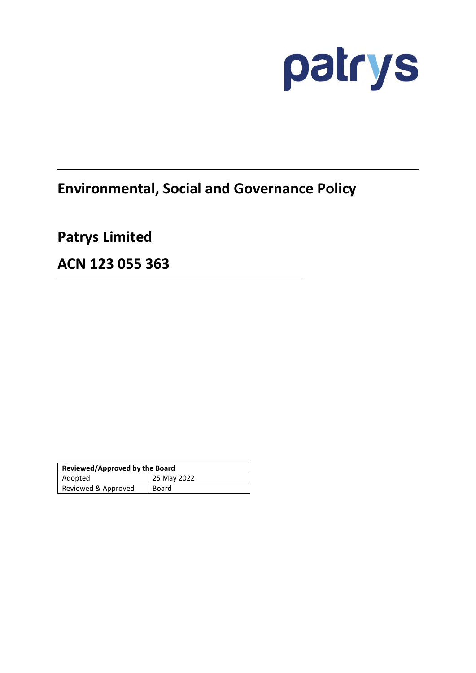

# **Environmental, Social and Governance Policy**

**Patrys Limited** 

**ACN 123 055 363** 

| Reviewed/Approved by the Board |             |
|--------------------------------|-------------|
| Adopted                        | 25 May 2022 |
| Reviewed & Approved            | Board       |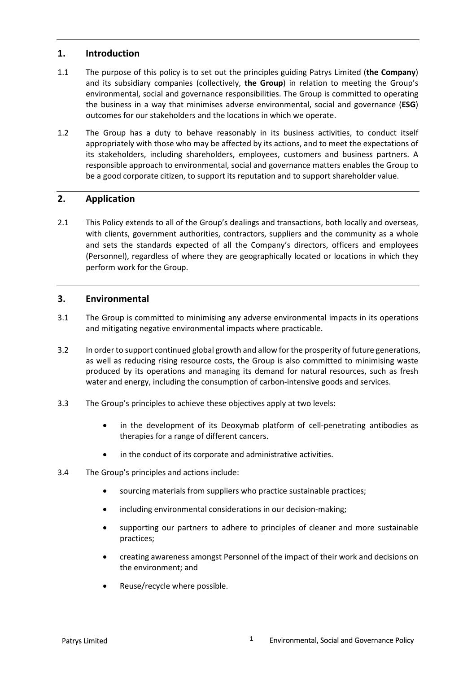## **1. Introduction**

- 1.1 The purpose of this policy is to set out the principles guiding Patrys Limited (**the Company**) and its subsidiary companies (collectively, **the Group**) in relation to meeting the Group's environmental, social and governance responsibilities. The Group is committed to operating the business in a way that minimises adverse environmental, social and governance (**ESG**) outcomes for our stakeholders and the locations in which we operate.
- 1.2 The Group has a duty to behave reasonably in its business activities, to conduct itself appropriately with those who may be affected by its actions, and to meet the expectations of its stakeholders, including shareholders, employees, customers and business partners. A responsible approach to environmental, social and governance matters enables the Group to be a good corporate citizen, to support its reputation and to support shareholder value.

## **2. Application**

2.1 This Policy extends to all of the Group's dealings and transactions, both locally and overseas, with clients, government authorities, contractors, suppliers and the community as a whole and sets the standards expected of all the Company's directors, officers and employees (Personnel), regardless of where they are geographically located or locations in which they perform work for the Group.

## **3. Environmental**

- 3.1 The Group is committed to minimising any adverse environmental impacts in its operations and mitigating negative environmental impacts where practicable.
- 3.2 In order to support continued global growth and allow for the prosperity of future generations, as well as reducing rising resource costs, the Group is also committed to minimising waste produced by its operations and managing its demand for natural resources, such as fresh water and energy, including the consumption of carbon-intensive goods and services.
- 3.3 The Group's principles to achieve these objectives apply at two levels:
	- in the development of its Deoxymab platform of cell-penetrating antibodies as therapies for a range of different cancers.
	- in the conduct of its corporate and administrative activities.
- 3.4 The Group's principles and actions include:
	- sourcing materials from suppliers who practice sustainable practices;
	- including environmental considerations in our decision-making;
	- supporting our partners to adhere to principles of cleaner and more sustainable practices;
	- creating awareness amongst Personnel of the impact of their work and decisions on the environment; and
	- Reuse/recycle where possible.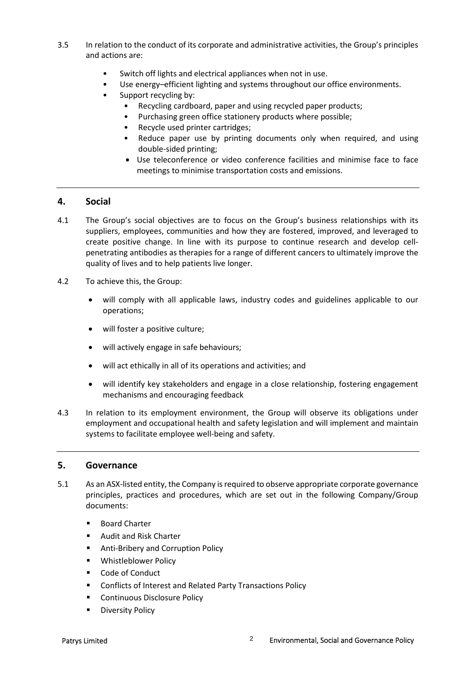- 3.5 In relation to the conduct of its corporate and administrative activities, the Group's principles and actions are:
	- Switch off lights and electrical appliances when not in use.
	- Use energy–efficient lighting and systems throughout our office environments.
	- Support recycling by:
		- Recycling cardboard, paper and using recycled paper products;
			- Purchasing green office stationery products where possible;
		- Recycle used printer cartridges;
		- Reduce paper use by printing documents only when required, and using double-sided printing;
		- Use teleconference or video conference facilities and minimise face to face meetings to minimise transportation costs and emissions.

#### **4. Social**

- 4.1 The Group's social objectives are to focus on the Group's business relationships with its suppliers, employees, communities and how they are fostered, improved, and leveraged to create positive change. In line with its purpose to continue research and develop cellpenetrating antibodies as therapies for a range of different cancers to ultimately improve the quality of lives and to help patients live longer.
- 4.2 To achieve this, the Group:
	- will comply with all applicable laws, industry codes and guidelines applicable to our operations;
	- will foster a positive culture:
	- will actively engage in safe behaviours;
	- will act ethically in all of its operations and activities; and
	- will identify key stakeholders and engage in a close relationship, fostering engagement mechanisms and encouraging feedback
- 4.3 In relation to its employment environment, the Group will observe its obligations under employment and occupational health and safety legislation and will implement and maintain systems to facilitate employee well-being and safety.

#### **5. Governance**

- 5.1 As an ASX-listed entity, the Company is required to observe appropriate corporate governance principles, practices and procedures, which are set out in the following Company/Group documents:
	- Board Charter
	- Audit and Risk Charter
	- Anti-Bribery and Corruption Policy
	- **•** Whistleblower Policy
	- Code of Conduct
	- Conflicts of Interest and Related Party Transactions Policy
	- **EXECONTINUOUS Disclosure Policy**
	- Diversity Policy